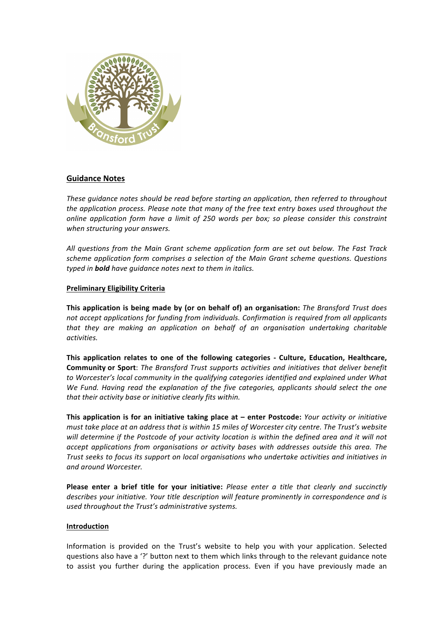

# **Guidance Notes**

These *guidance notes should be read before starting an application, then referred to throughout the application process. Please note that many of the free text entry boxes used throughout the online application form have a limit of 250 words per box; so please consider this constraint when structuring your answers.*

*All questions from the Main Grant scheme application form are set out below. The Fast Track*  scheme application form comprises a selection of the Main Grant scheme questions. Questions *typed* in **bold** have quidance notes next to them in italics.

# **Preliminary Eligibility Criteria**

**This application is being made by (or on behalf of) an organisation:** *The Bransford Trust does* not accept applications for funding from individuals. Confirmation is required from all applicants *that* they are making an application on behalf of an organisation undertaking charitable *activities.*

This application relates to one of the following categories - Culture, Education, Healthcare, **Community or Sport**: *The Bransford Trust supports activities and initiatives that deliver benefit* to Worcester's local community in the qualifying categories identified and explained under What *We Fund. Having read the explanation of the five categories, applicants should select the one* that their activity base or initiative clearly fits within.

**This application is for an initiative taking place at – enter Postcode:** *Your activity or initiative must take place at an address that is within 15 miles of Worcester city centre. The Trust's website* will determine if the Postcode of your activity location is within the defined area and it will not *accept applications from organisations or activity bases with addresses outside this area. The Trust seeks to focus its support on local organisations who undertake activities and initiatives in and around Worcester.*

**Please enter a brief title for your initiative:** Please enter a title that clearly and succinctly describes your initiative. Your title description will feature prominently in correspondence and is *used throughout the Trust's administrative systems.*

### **Introduction**

Information is provided on the Trust's website to help you with your application. Selected questions also have a '?' button next to them which links through to the relevant guidance note to assist you further during the application process. Even if you have previously made an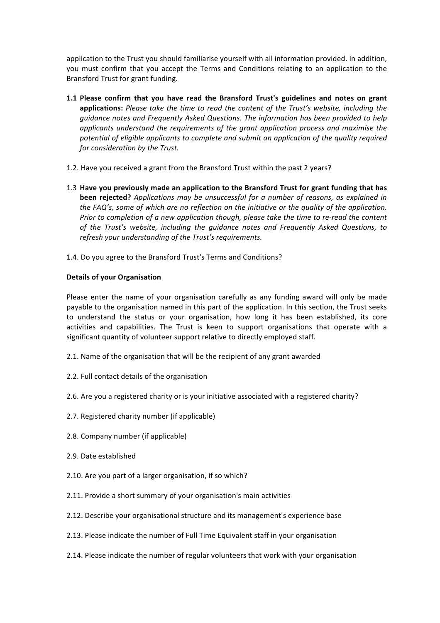application to the Trust you should familiarise yourself with all information provided. In addition, you must confirm that you accept the Terms and Conditions relating to an application to the Bransford Trust for grant funding.

- **1.1** Please confirm that you have read the Bransford Trust's guidelines and notes on grant applications: Please take the time to read the content of the Trust's website, including the *guidance notes and Frequently Asked Questions. The information has been provided to help applicants* understand the requirements of the grant application process and maximise the potential of eligible applicants to complete and submit an application of the quality required *for consideration by the Trust.*
- 1.2. Have you received a grant from the Bransford Trust within the past 2 years?
- 1.3 Have you previously made an application to the Bransford Trust for grant funding that has **been rejected?** Applications may be unsuccessful for a number of reasons, as explained in *the FAQ's, some of which are no reflection on the initiative or the quality of the application. Prior* to completion of a new application though, please take the time to re-read the content of the Trust's website, including the guidance notes and Frequently Asked Questions, to refresh your understanding of the Trust's requirements.
- 1.4. Do you agree to the Bransford Trust's Terms and Conditions?

# **Details of your Organisation**

Please enter the name of your organisation carefully as any funding award will only be made payable to the organisation named in this part of the application. In this section, the Trust seeks to understand the status or your organisation, how long it has been established, its core activities and capabilities. The Trust is keen to support organisations that operate with a significant quantity of volunteer support relative to directly employed staff.

- 2.1. Name of the organisation that will be the recipient of any grant awarded
- 2.2. Full contact details of the organisation
- 2.6. Are you a registered charity or is your initiative associated with a registered charity?
- 2.7. Registered charity number (if applicable)
- 2.8. Company number (if applicable)
- 2.9. Date established
- 2.10. Are you part of a larger organisation, if so which?
- 2.11. Provide a short summary of your organisation's main activities
- 2.12. Describe your organisational structure and its management's experience base
- 2.13. Please indicate the number of Full Time Equivalent staff in your organisation
- 2.14. Please indicate the number of regular volunteers that work with your organisation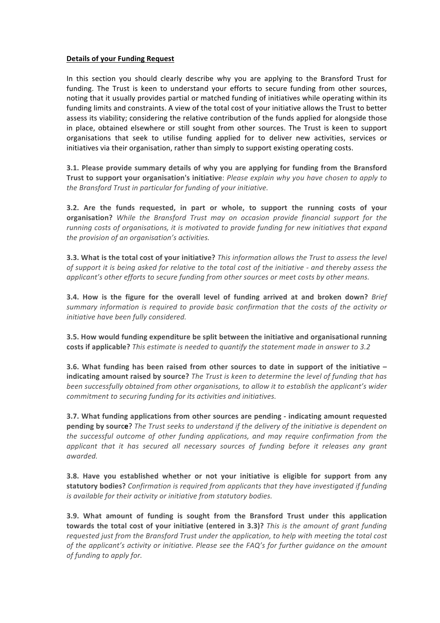#### **Details of your Funding Request**

In this section you should clearly describe why you are applying to the Bransford Trust for funding. The Trust is keen to understand your efforts to secure funding from other sources, noting that it usually provides partial or matched funding of initiatives while operating within its funding limits and constraints. A view of the total cost of your initiative allows the Trust to better assess its viability; considering the relative contribution of the funds applied for alongside those in place, obtained elsewhere or still sought from other sources. The Trust is keen to support organisations that seek to utilise funding applied for to deliver new activities, services or initiatives via their organisation, rather than simply to support existing operating costs.

**3.1. Please provide summary details of why you are applying for funding from the Bransford Trust to support your organisation's initiative**: *Please explain why you have chosen to apply to* the Bransford Trust in particular for funding of your initiative.

**3.2.** Are the funds requested, in part or whole, to support the running costs of your **organisation?** While the Bransford Trust may on occasion provide financial support for the *running costs of organisations, it is motivated to provide funding for new initiatives that expand* the provision of an organisation's activities.

**3.3.** What is the total cost of your initiative? *This information allows the Trust to assess the level of support it is being asked for relative to the total cost of the initiative - and thereby assess the applicant's* other efforts to secure funding from other sources or meet costs by other means.

**3.4.** How is the figure for the overall level of funding arrived at and broken down? *Brief* summary information is required to provide basic confirmation that the costs of the activity or *initiative have been fully considered.*

**3.5. How would funding expenditure be split between the initiative and organisational running costs if applicable?** *This estimate is needed to quantify the statement made in answer to 3.2* 

**3.6.** What funding has been raised from other sources to date in support of the initiative – **indicating amount raised by source?** The Trust is keen to determine the level of funding that has *been successfully obtained from other organisations, to allow it to establish the applicant's wider commitment to securing funding for its activities and initiatives.* 

**3.7.** What funding applications from other sources are pending - indicating amount requested **pending by source?** The Trust seeks to understand if the delivery of the initiative is dependent on the successful outcome of other funding applications, and may require confirmation from the *applicant that it has secured all necessary sources of funding before it releases any grant awarded.*

**3.8.** Have you established whether or not your initiative is eligible for support from any **statutory bodies?** *Confirmation is required from applicants that they have investigated if funding is* available for their activity or initiative from statutory bodies.

**3.9.** What amount of funding is sought from the Bransford Trust under this application **towards the total cost of your initiative (entered in 3.3)?** This is the amount of grant funding *requested just from the Bransford Trust under the application, to help with meeting the total cost* of the applicant's activity or initiative. Please see the FAQ's for further quidance on the amount *of funding to apply for.*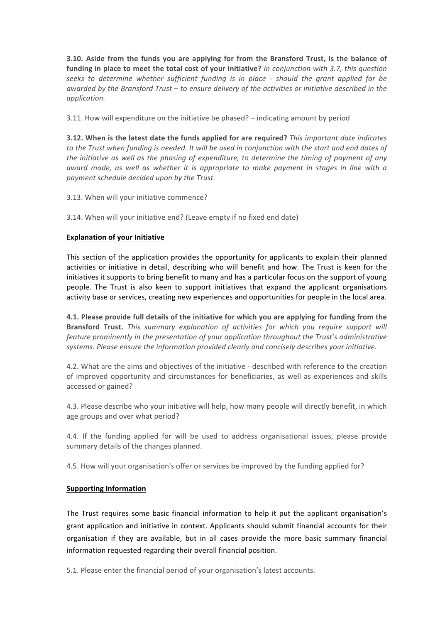**3.10.** Aside from the funds you are applying for from the Bransford Trust, is the balance of funding in place to meet the total cost of your initiative? In conjunction with 3.7, this question *seeks to determine whether sufficient funding is in place - should the grant applied for be*  awarded by the Bransford Trust – to ensure delivery of the activities or initiative described in the *application.*

3.11. How will expenditure on the initiative be phased?  $-$  indicating amount by period

**3.12.** When is the latest date the funds applied for are required? *This important date indicates* to the Trust when funding is needed. It will be used in conjunction with the start and end dates of *the initiative as well as the phasing of expenditure, to determine the timing of payment of any award made, as well as whether it is appropriate to make payment in stages in line with a* payment schedule decided upon by the Trust.

3.13. When will your initiative commence?

3.14. When will your initiative end? (Leave empty if no fixed end date)

# **Explanation of your Initiative**

This section of the application provides the opportunity for applicants to explain their planned activities or initiative in detail, describing who will benefit and how. The Trust is keen for the initiatives it supports to bring benefit to many and has a particular focus on the support of young people. The Trust is also keen to support initiatives that expand the applicant organisations activity base or services, creating new experiences and opportunities for people in the local area.

**4.1. Please provide full details of the initiative for which you are applying for funding from the Bransford Trust.** This summary explanation of activities for which you require support will *feature prominently in the presentation of your application throughout the Trust's administrative* systems. Please ensure the information provided clearly and concisely describes your initiative.

4.2. What are the aims and objectives of the initiative - described with reference to the creation of improved opportunity and circumstances for beneficiaries, as well as experiences and skills accessed or gained?

4.3. Please describe who your initiative will help, how many people will directly benefit, in which age groups and over what period?

4.4. If the funding applied for will be used to address organisational issues, please provide summary details of the changes planned.

4.5. How will your organisation's offer or services be improved by the funding applied for?

### **Supporting Information**

The Trust requires some basic financial information to help it put the applicant organisation's grant application and initiative in context. Applicants should submit financial accounts for their organisation if they are available, but in all cases provide the more basic summary financial information requested regarding their overall financial position.

5.1. Please enter the financial period of your organisation's latest accounts.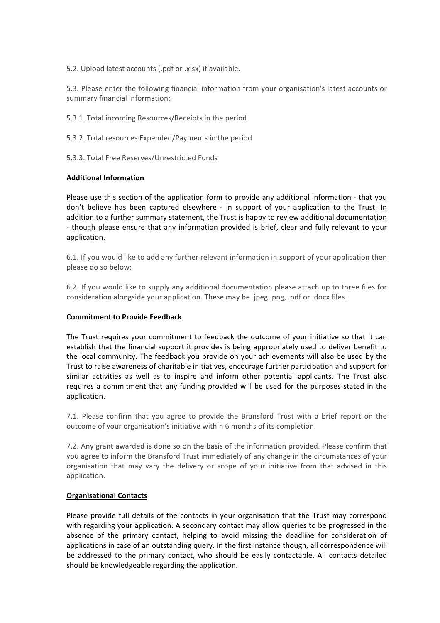5.2. Upload latest accounts (.pdf or .xlsx) if available.

5.3. Please enter the following financial information from your organisation's latest accounts or summary financial information:

5.3.1. Total incoming Resources/Receipts in the period

5.3.2. Total resources Expended/Payments in the period

5.3.3. Total Free Reserves/Unrestricted Funds

# **Additional Information**

Please use this section of the application form to provide any additional information - that you don't believe has been captured elsewhere - in support of your application to the Trust. In addition to a further summary statement, the Trust is happy to review additional documentation - though please ensure that any information provided is brief, clear and fully relevant to your application.

6.1. If you would like to add any further relevant information in support of your application then please do so below:

6.2. If you would like to supply any additional documentation please attach up to three files for consideration alongside your application. These may be .jpeg .png, .pdf or .docx files.

### **Commitment to Provide Feedback**

The Trust requires your commitment to feedback the outcome of your initiative so that it can establish that the financial support it provides is being appropriately used to deliver benefit to the local community. The feedback you provide on your achievements will also be used by the Trust to raise awareness of charitable initiatives, encourage further participation and support for similar activities as well as to inspire and inform other potential applicants. The Trust also requires a commitment that any funding provided will be used for the purposes stated in the application.

7.1. Please confirm that you agree to provide the Bransford Trust with a brief report on the outcome of your organisation's initiative within 6 months of its completion.

7.2. Any grant awarded is done so on the basis of the information provided. Please confirm that you agree to inform the Bransford Trust immediately of any change in the circumstances of your organisation that may vary the delivery or scope of your initiative from that advised in this application.

### **Organisational Contacts**

Please provide full details of the contacts in your organisation that the Trust may correspond with regarding your application. A secondary contact may allow queries to be progressed in the absence of the primary contact, helping to avoid missing the deadline for consideration of applications in case of an outstanding query. In the first instance though, all correspondence will be addressed to the primary contact, who should be easily contactable. All contacts detailed should be knowledgeable regarding the application.